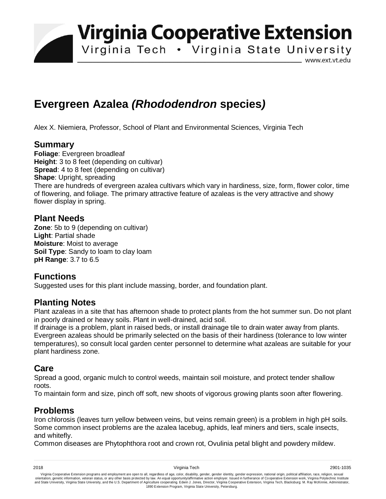**Virginia Cooperative Extension** 

Virginia Tech . Virginia State University

www.ext.vt.edu

# **Evergreen Azalea** *(Rhododendron* **species***)*

Alex X. Niemiera, Professor, School of Plant and Environmental Sciences, Virginia Tech

## **Summary**

**Foliage**: Evergreen broadleaf **Height**: 3 to 8 feet (depending on cultivar) **Spread**: 4 to 8 feet (depending on cultivar) **Shape: Upright, spreading** There are hundreds of evergreen azalea cultivars which vary in hardiness, size, form, flower color, time of flowering, and foliage. The primary attractive feature of azaleas is the very attractive and showy flower display in spring.

#### **Plant Needs**

**Zone**: 5b to 9 (depending on cultivar) **Light**: Partial shade **Moisture**: Moist to average **Soil Type**: Sandy to loam to clay loam **pH Range**: 3.7 to 6.5

## **Functions**

Suggested uses for this plant include massing, border, and foundation plant.

#### **Planting Notes**

Plant azaleas in a site that has afternoon shade to protect plants from the hot summer sun. Do not plant in poorly drained or heavy soils. Plant in well-drained, acid soil.

If drainage is a problem, plant in raised beds, or install drainage tile to drain water away from plants. Evergreen azaleas should be primarily selected on the basis of their hardiness (tolerance to low winter temperatures), so consult local garden center personnel to determine what azaleas are suitable for your plant hardiness zone.

#### **Care**

Spread a good, organic mulch to control weeds, maintain soil moisture, and protect tender shallow roots.

To maintain form and size, pinch off soft, new shoots of vigorous growing plants soon after flowering.

## **Problems**

Iron chlorosis (leaves turn yellow between veins, but veins remain green) is a problem in high pH soils. Some common insect problems are the azalea lacebug, aphids, leaf miners and tiers, scale insects, and whitefly.

Common diseases are Phytophthora root and crown rot, Ovulinia petal blight and powdery mildew.